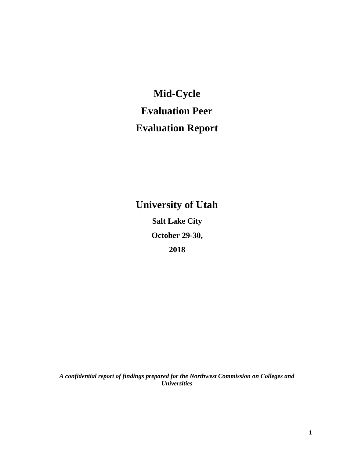**Mid**‐**Cycle Evaluation Peer Evaluation Report** 

**University of Utah Salt Lake City October 29-30, 2018** 

*A confidential report of findings prepared for the Northwest Commission on Colleges and Universities*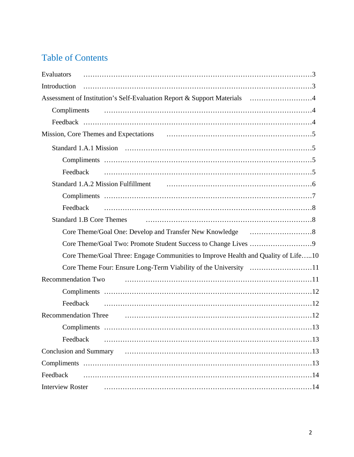# Table of Contents

| Evaluators                                                                        |
|-----------------------------------------------------------------------------------|
| Introduction                                                                      |
| Assessment of Institution's Self-Evaluation Report & Support Materials 4          |
| Compliments                                                                       |
|                                                                                   |
|                                                                                   |
|                                                                                   |
|                                                                                   |
| Feedback                                                                          |
|                                                                                   |
|                                                                                   |
| Feedback                                                                          |
| Standard 1.B Core Themes                                                          |
|                                                                                   |
|                                                                                   |
| Core Theme/Goal Three: Engage Communities to Improve Health and Quality of Life10 |
|                                                                                   |
| <b>Recommendation Two</b>                                                         |
|                                                                                   |
| Feedback                                                                          |
| <b>Recommendation Three</b>                                                       |
|                                                                                   |
| Feedback                                                                          |
|                                                                                   |
|                                                                                   |
| Feedback                                                                          |
| <b>Interview Roster</b>                                                           |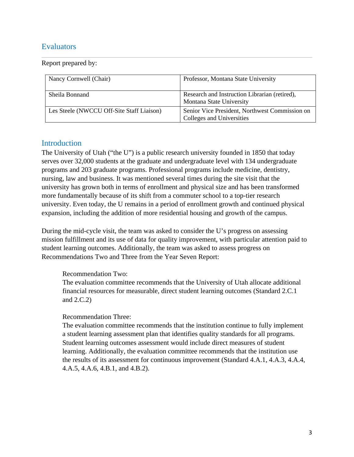### **Evaluators**

Report prepared by:

| Nancy Cornwell (Chair)                    | Professor, Montana State University                                         |
|-------------------------------------------|-----------------------------------------------------------------------------|
| Sheila Bonnand                            | Research and Instruction Librarian (retired),<br>Montana State University   |
| Les Steele (NWCCU Off-Site Staff Liaison) | Senior Vice President, Northwest Commission on<br>Colleges and Universities |

### Introduction

The University of Utah ("the U") is a public research university founded in 1850 that today serves over 32,000 students at the graduate and undergraduate level with 134 undergraduate programs and 203 graduate programs. Professional programs include medicine, dentistry, nursing, law and business. It was mentioned several times during the site visit that the university has grown both in terms of enrollment and physical size and has been transformed more fundamentally because of its shift from a commuter school to a top-tier research university. Even today, the U remains in a period of enrollment growth and continued physical expansion, including the addition of more residential housing and growth of the campus.

During the mid-cycle visit, the team was asked to consider the U's progress on assessing mission fulfillment and its use of data for quality improvement, with particular attention paid to student learning outcomes. Additionally, the team was asked to assess progress on Recommendations Two and Three from the Year Seven Report:

#### Recommendation Two:

The evaluation committee recommends that the University of Utah allocate additional financial resources for measurable, direct student learning outcomes (Standard 2.C.1 and 2.C.2)

#### Recommendation Three:

The evaluation committee recommends that the institution continue to fully implement a student learning assessment plan that identifies quality standards for all programs. Student learning outcomes assessment would include direct measures of student learning. Additionally, the evaluation committee recommends that the institution use the results of its assessment for continuous improvement (Standard 4.A.1, 4.A.3, 4.A.4, 4.A.5, 4.A.6, 4.B.1, and 4.B.2).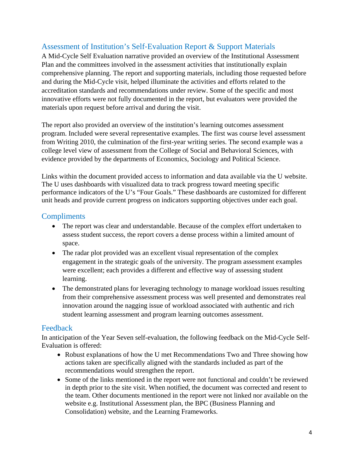# Assessment of Institution's Self‐Evaluation Report & Support Materials

A Mid-Cycle Self Evaluation narrative provided an overview of the Institutional Assessment Plan and the committees involved in the assessment activities that institutionally explain comprehensive planning. The report and supporting materials, including those requested before and during the Mid-Cycle visit, helped illuminate the activities and efforts related to the accreditation standards and recommendations under review. Some of the specific and most innovative efforts were not fully documented in the report, but evaluators were provided the materials upon request before arrival and during the visit.

The report also provided an overview of the institution's learning outcomes assessment program. Included were several representative examples. The first was course level assessment from Writing 2010, the culmination of the first-year writing series. The second example was a college level view of assessment from the College of Social and Behavioral Sciences, with evidence provided by the departments of Economics, Sociology and Political Science.

Links within the document provided access to information and data available via the U website. The U uses dashboards with visualized data to track progress toward meeting specific performance indicators of the U's "Four Goals." These dashboards are customized for different unit heads and provide current progress on indicators supporting objectives under each goal.

### **Compliments**

- The report was clear and understandable. Because of the complex effort undertaken to assess student success, the report covers a dense process within a limited amount of space.
- The radar plot provided was an excellent visual representation of the complex engagement in the strategic goals of the university. The program assessment examples were excellent; each provides a different and effective way of assessing student learning.
- The demonstrated plans for leveraging technology to manage workload issues resulting from their comprehensive assessment process was well presented and demonstrates real innovation around the nagging issue of workload associated with authentic and rich student learning assessment and program learning outcomes assessment.

### Feedback

In anticipation of the Year Seven self-evaluation, the following feedback on the Mid-Cycle Self-Evaluation is offered:

- Robust explanations of how the U met Recommendations Two and Three showing how actions taken are specifically aligned with the standards included as part of the recommendations would strengthen the report.
- Some of the links mentioned in the report were not functional and couldn't be reviewed in depth prior to the site visit. When notified, the document was corrected and resent to the team. Other documents mentioned in the report were not linked nor available on the website e.g. Institutional Assessment plan, the BPC (Business Planning and Consolidation) website, and the Learning Frameworks.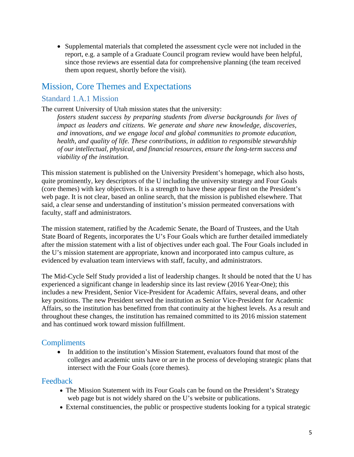Supplemental materials that completed the assessment cycle were not included in the report, e.g. a sample of a Graduate Council program review would have been helpful, since those reviews are essential data for comprehensive planning (the team received them upon request, shortly before the visit).

# Mission, Core Themes and Expectations

### Standard 1.A.1 Mission

The current University of Utah mission states that the university:

*fosters student success by preparing students from diverse backgrounds for lives of impact as leaders and citizens. We generate and share new knowledge, discoveries, and innovations, and we engage local and global communities to promote education, health, and quality of life. These contributions, in addition to responsible stewardship of our intellectual, physical, and financial resources, ensure the long-term success and viability of the institution.* 

This mission statement is published on the University President's homepage, which also hosts, quite prominently, key descriptors of the U including the university strategy and Four Goals (core themes) with key objectives. It is a strength to have these appear first on the President's web page. It is not clear, based an online search, that the mission is published elsewhere. That said, a clear sense and understanding of institution's mission permeated conversations with faculty, staff and administrators.

The mission statement, ratified by the Academic Senate, the Board of Trustees, and the Utah State Board of Regents, incorporates the U's Four Goals which are further detailed immediately after the mission statement with a list of objectives under each goal. The Four Goals included in the U's mission statement are appropriate, known and incorporated into campus culture, as evidenced by evaluation team interviews with staff, faculty, and administrators.

The Mid-Cycle Self Study provided a list of leadership changes. It should be noted that the U has experienced a significant change in leadership since its last review (2016 Year-One); this includes a new President, Senior Vice-President for Academic Affairs, several deans, and other key positions. The new President served the institution as Senior Vice-President for Academic Affairs, so the institution has benefitted from that continuity at the highest levels. As a result and throughout these changes, the institution has remained committed to its 2016 mission statement and has continued work toward mission fulfillment.

### **Compliments**

• In addition to the institution's Mission Statement, evaluators found that most of the colleges and academic units have or are in the process of developing strategic plans that intersect with the Four Goals (core themes).

#### Feedback

- The Mission Statement with its Four Goals can be found on the President's Strategy web page but is not widely shared on the U's website or publications.
- External constituencies, the public or prospective students looking for a typical strategic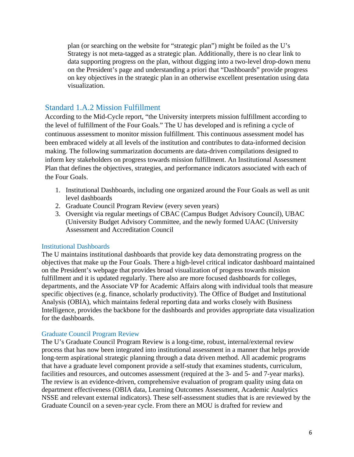plan (or searching on the website for "strategic plan") might be foiled as the U's Strategy is not meta-tagged as a strategic plan. Additionally, there is no clear link to data supporting progress on the plan, without digging into a two-level drop-down menu on the President's page and understanding a priori that "Dashboards" provide progress on key objectives in the strategic plan in an otherwise excellent presentation using data visualization.

### Standard 1.A.2 Mission Fulfillment

According to the Mid-Cycle report, "the University interprets mission fulfillment according to the level of fulfillment of the Four Goals." The U has developed and is refining a cycle of continuous assessment to monitor mission fulfillment*.* This continuous assessment model has been embraced widely at all levels of the institution and contributes to data-informed decision making. The following summarization documents are data-driven compilations designed to inform key stakeholders on progress towards mission fulfillment. An Institutional Assessment Plan that defines the objectives, strategies, and performance indicators associated with each of the Four Goals.

- 1. Institutional Dashboards, including one organized around the Four Goals as well as unit level dashboards
- 2. Graduate Council Program Review (every seven years)
- 3. Oversight via regular meetings of CBAC (Campus Budget Advisory Council), UBAC (University Budget Advisory Committee, and the newly formed UAAC (University Assessment and Accreditation Council

#### Institutional Dashboards

The U maintains institutional dashboards that provide key data demonstrating progress on the objectives that make up the Four Goals. There a high-level critical indicator dashboard maintained on the President's webpage that provides broad visualization of progress towards mission fulfillment and it is updated regularly. There also are more focused dashboards for colleges, departments, and the Associate VP for Academic Affairs along with individual tools that measure specific objectives (e.g. finance, scholarly productivity). The Office of Budget and Institutional Analysis (OBIA), which maintains federal reporting data and works closely with Business Intelligence, provides the backbone for the dashboards and provides appropriate data visualization for the dashboards.

#### Graduate Council Program Review

The U's Graduate Council Program Review is a long-time, robust, internal/external review process that has now been integrated into institutional assessment in a manner that helps provide long-term aspirational strategic planning through a data driven method. All academic programs that have a graduate level component provide a self-study that examines students, curriculum, facilities and resources, and outcomes assessment (required at the 3- and 5- and 7-year marks). The review is an evidence-driven, comprehensive evaluation of program quality using data on department effectiveness (OBIA data, Learning Outcomes Assessment, Academic Analytics NSSE and relevant external indicators). These self-assessment studies that is are reviewed by the Graduate Council on a seven-year cycle. From there an MOU is drafted for review and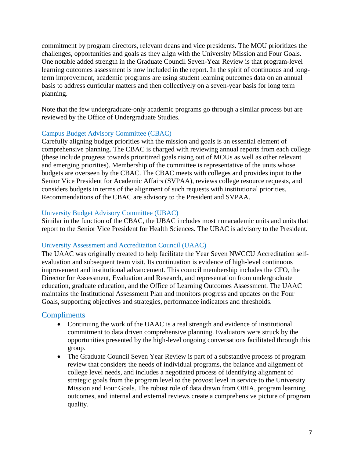commitment by program directors, relevant deans and vice presidents. The MOU prioritizes the challenges, opportunities and goals as they align with the University Mission and Four Goals. One notable added strength in the Graduate Council Seven-Year Review is that program-level learning outcomes assessment is now included in the report. In the spirit of continuous and longterm improvement, academic programs are using student learning outcomes data on an annual basis to address curricular matters and then collectively on a seven-year basis for long term planning.

Note that the few undergraduate-only academic programs go through a similar process but are reviewed by the Office of Undergraduate Studies.

#### Campus Budget Advisory Committee (CBAC)

Carefully aligning budget priorities with the mission and goals is an essential element of comprehensive planning. The CBAC is charged with reviewing annual reports from each college (these include progress towards prioritized goals rising out of MOUs as well as other relevant and emerging priorities). Membership of the committee is representative of the units whose budgets are overseen by the CBAC. The CBAC meets with colleges and provides input to the Senior Vice President for Academic Affairs (SVPAA), reviews college resource requests, and considers budgets in terms of the alignment of such requests with institutional priorities. Recommendations of the CBAC are advisory to the President and SVPAA.

#### University Budget Advisory Committee (UBAC)

Similar in the function of the CBAC, the UBAC includes most nonacademic units and units that report to the Senior Vice President for Health Sciences. The UBAC is advisory to the President.

#### University Assessment and Accreditation Council (UAAC)

The UAAC was originally created to help facilitate the Year Seven NWCCU Accreditation selfevaluation and subsequent team visit. Its continuation is evidence of high-level continuous improvement and institutional advancement. This council membership includes the CFO, the Director for Assessment, Evaluation and Research, and representation from undergraduate education, graduate education, and the Office of Learning Outcomes Assessment. The UAAC maintains the Institutional Assessment Plan and monitors progress and updates on the Four Goals, supporting objectives and strategies, performance indicators and thresholds.

#### **Compliments**

- Continuing the work of the UAAC is a real strength and evidence of institutional commitment to data driven comprehensive planning. Evaluators were struck by the opportunities presented by the high-level ongoing conversations facilitated through this group.
- The Graduate Council Seven Year Review is part of a substantive process of program review that considers the needs of individual programs, the balance and alignment of college level needs, and includes a negotiated process of identifying alignment of strategic goals from the program level to the provost level in service to the University Mission and Four Goals. The robust role of data drawn from OBIA, program learning outcomes, and internal and external reviews create a comprehensive picture of program quality.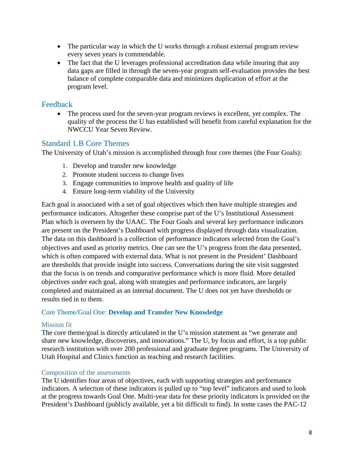- The particular way in which the U works through a robust external program review every seven years is commendable.
- The fact that the U leverages professional accreditation data while insuring that any data gaps are filled in through the seven-year program self-evaluation provides the best balance of complete comparable data and minimizes duplication of effort at the program level.

### Feedback

 The process used for the seven-year program reviews is excellent, yet complex. The quality of the process the U has established will benefit from careful explanation for the NWCCU Year Seven Review.

### Standard 1.B Core Themes

The University of Utah's mission is accomplished through four core themes (the Four Goals):

- 1. Develop and transfer new knowledge
- 2. Promote student success to change lives
- 3. Engage communities to improve health and quality of life
- 4. Ensure long-term viability of the University

Each goal is associated with a set of goal objectives which then have multiple strategies and performance indicators. Altogether these comprise part of the U's Institutional Assessment Plan which is overseen by the UAAC*.* The Four Goals and several key performance indicators are present on the President's Dashboard with progress displayed through data visualization. The data on this dashboard is a collection of performance indicators selected from the Goal's objectives and used as priority metrics. One can see the U's progress from the data presented, which is often compared with external data. What is not present in the President' Dashboard are thresholds that provide insight into success. Conversations during the site visit suggested that the focus is on trends and comparative performance which is more fluid. More detailed objectives under each goal, along with strategies and performance indicators, are largely completed and maintained as an internal document. The U does not yet have thresholds or results tied in to them.

#### Core Theme/Goal One: **Develop and Transfer New Knowledge**

#### Mission fit

The core theme/goal is directly articulated in the U's mission statement as "we generate and share new knowledge, discoveries, and innovations." The U, by focus and effort, is a top public research institution with over 200 professional and graduate degree programs. The University of Utah Hospital and Clinics function as teaching and research facilities.

#### Composition of the assessments

The U identifies four areas of objectives, each with supporting strategies and performance indicators. A selection of these indicators is pulled up to "top level" indicators and used to look at the progress towards Goal One. Multi-year data for these priority indicators is provided on the President's Dashboard (publicly available, yet a bit difficult to find). In some cases the PAC-12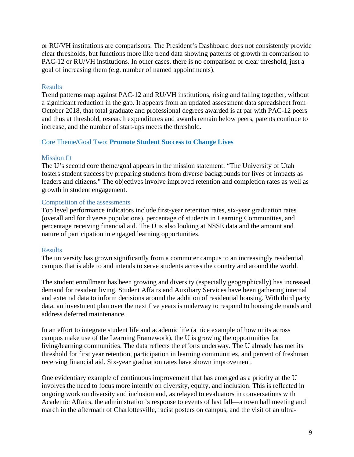or RU/VH institutions are comparisons. The President's Dashboard does not consistently provide clear thresholds, but functions more like trend data showing patterns of growth in comparison to PAC-12 or RU/VH institutions. In other cases, there is no comparison or clear threshold, just a goal of increasing them (e.g. number of named appointments).

#### **Results**

Trend patterns map against PAC-12 and RU/VH institutions, rising and falling together, without a significant reduction in the gap. It appears from an updated assessment data spreadsheet from October 2018, that total graduate and professional degrees awarded is at par with PAC-12 peers and thus at threshold, research expenditures and awards remain below peers, patents continue to increase, and the number of start-ups meets the threshold.

#### Core Theme/Goal Two: **Promote Student Success to Change Lives**

#### Mission fit

The U's second core theme/goal appears in the mission statement: "The University of Utah fosters student success by preparing students from diverse backgrounds for lives of impacts as leaders and citizens." The objectives involve improved retention and completion rates as well as growth in student engagement.

#### Composition of the assessments

Top level performance indicators include first-year retention rates, six-year graduation rates (overall and for diverse populations), percentage of students in Learning Communities, and percentage receiving financial aid. The U is also looking at NSSE data and the amount and nature of participation in engaged learning opportunities.

#### Results

The university has grown significantly from a commuter campus to an increasingly residential campus that is able to and intends to serve students across the country and around the world.

The student enrollment has been growing and diversity (especially geographically) has increased demand for resident living. Student Affairs and Auxiliary Services have been gathering internal and external data to inform decisions around the addition of residential housing. With third party data, an investment plan over the next five years is underway to respond to housing demands and address deferred maintenance.

In an effort to integrate student life and academic life (a nice example of how units across campus make use of the Learning Framework), the U is growing the opportunities for living/learning communities. The data reflects the efforts underway. The U already has met its threshold for first year retention, participation in learning communities, and percent of freshman receiving financial aid. Six-year graduation rates have shown improvement.

One evidentiary example of continuous improvement that has emerged as a priority at the U involves the need to focus more intently on diversity, equity, and inclusion. This is reflected in ongoing work on diversity and inclusion and, as relayed to evaluators in conversations with Academic Affairs, the administration's response to events of last fall—a town hall meeting and march in the aftermath of Charlottesville, racist posters on campus, and the visit of an ultra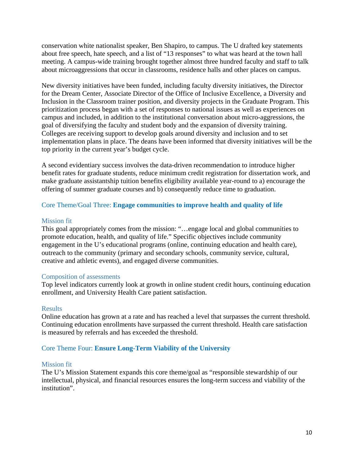conservation white nationalist speaker, Ben Shapiro, to campus. The U drafted key statements about free speech, hate speech, and a list of "13 responses" to what was heard at the town hall meeting. A campus-wide training brought together almost three hundred faculty and staff to talk about microaggressions that occur in classrooms, residence halls and other places on campus.

New diversity initiatives have been funded, including faculty diversity initiatives, the Director for the Dream Center, Associate Director of the Office of Inclusive Excellence, a Diversity and Inclusion in the Classroom trainer position, and diversity projects in the Graduate Program. This prioritization process began with a set of responses to national issues as well as experiences on campus and included, in addition to the institutional conversation about micro-aggressions, the goal of diversifying the faculty and student body and the expansion of diversity training. Colleges are receiving support to develop goals around diversity and inclusion and to set implementation plans in place. The deans have been informed that diversity initiatives will be the top priority in the current year's budget cycle.

A second evidentiary success involves the data-driven recommendation to introduce higher benefit rates for graduate students, reduce minimum credit registration for dissertation work, and make graduate assistantship tuition benefits eligibility available year-round to a) encourage the offering of summer graduate courses and b) consequently reduce time to graduation.

#### Core Theme/Goal Three: **Engage communities to improve health and quality of life**

#### Mission fit

This goal appropriately comes from the mission: "…engage local and global communities to promote education, health, and quality of life." Specific objectives include community engagement in the U's educational programs (online, continuing education and health care), outreach to the community (primary and secondary schools, community service, cultural, creative and athletic events), and engaged diverse communities.

#### Composition of assessments

Top level indicators currently look at growth in online student credit hours, continuing education enrollment, and University Health Care patient satisfaction.

#### Results

Online education has grown at a rate and has reached a level that surpasses the current threshold. Continuing education enrollments have surpassed the current threshold. Health care satisfaction is measured by referrals and has exceeded the threshold.

#### Core Theme Four: **Ensure Long-Term Viability of the University**

#### Mission fit

The U's Mission Statement expands this core theme/goal as "responsible stewardship of our intellectual, physical, and financial resources ensures the long-term success and viability of the institution".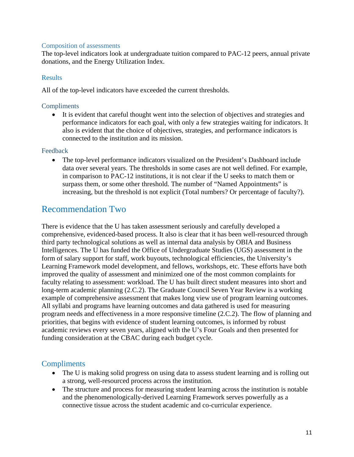#### Composition of assessments

The top-level indicators look at undergraduate tuition compared to PAC-12 peers, annual private donations, and the Energy Utilization Index.

#### Results

All of the top-level indicators have exceeded the current thresholds.

#### **Compliments**

 It is evident that careful thought went into the selection of objectives and strategies and performance indicators for each goal, with only a few strategies waiting for indicators. It also is evident that the choice of objectives, strategies, and performance indicators is connected to the institution and its mission.

#### Feedback

 The top-level performance indicators visualized on the President's Dashboard include data over several years. The thresholds in some cases are not well defined. For example, in comparison to PAC-12 institutions, it is not clear if the U seeks to match them or surpass them, or some other threshold. The number of "Named Appointments" is increasing, but the threshold is not explicit (Total numbers? Or percentage of faculty?).

# Recommendation Two

There is evidence that the U has taken assessment seriously and carefully developed a comprehensive, evidenced-based process. It also is clear that it has been well-resourced through third party technological solutions as well as internal data analysis by OBIA and Business Intelligences. The U has funded the Office of Undergraduate Studies (UGS) assessment in the form of salary support for staff, work buyouts, technological efficiencies, the University's Learning Framework model development, and fellows, workshops, etc. These efforts have both improved the quality of assessment and minimized one of the most common complaints for faculty relating to assessment: workload. The U has built direct student measures into short and long-term academic planning (2.C.2). The Graduate Council Seven Year Review is a working example of comprehensive assessment that makes long view use of program learning outcomes. All syllabi and programs have learning outcomes and data gathered is used for measuring program needs and effectiveness in a more responsive timeline (2.C.2). The flow of planning and priorities, that begins with evidence of student learning outcomes, is informed by robust academic reviews every seven years, aligned with the U's Four Goals and then presented for funding consideration at the CBAC during each budget cycle.

### **Compliments**

- The U is making solid progress on using data to assess student learning and is rolling out a strong, well-resourced process across the institution.
- The structure and process for measuring student learning across the institution is notable and the phenomenologically-derived Learning Framework serves powerfully as a connective tissue across the student academic and co-curricular experience.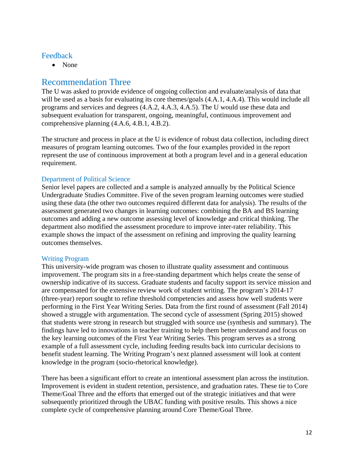#### Feedback

• None

# Recommendation Three

The U was asked to provide evidence of ongoing collection and evaluate/analysis of data that will be used as a basis for evaluating its core themes/goals  $(4.A.1, 4.A.4)$ . This would include all programs and services and degrees (4.A.2, 4.A.3, 4.A.5). The U would use these data and subsequent evaluation for transparent, ongoing, meaningful, continuous improvement and comprehensive planning (4.A.6, 4.B.1, 4.B.2).

The structure and process in place at the U is evidence of robust data collection, including direct measures of program learning outcomes. Two of the four examples provided in the report represent the use of continuous improvement at both a program level and in a general education requirement.

#### Department of Political Science

Senior level papers are collected and a sample is analyzed annually by the Political Science Undergraduate Studies Committee. Five of the seven program learning outcomes were studied using these data (the other two outcomes required different data for analysis). The results of the assessment generated two changes in learning outcomes: combining the BA and BS learning outcomes and adding a new outcome assessing level of knowledge and critical thinking. The department also modified the assessment procedure to improve inter-rater reliability. This example shows the impact of the assessment on refining and improving the quality learning outcomes themselves.

#### Writing Program

This university-wide program was chosen to illustrate quality assessment and continuous improvement. The program sits in a free-standing department which helps create the sense of ownership indicative of its success. Graduate students and faculty support its service mission and are compensated for the extensive review work of student writing. The program's 2014-17 (three-year) report sought to refine threshold competencies and assess how well students were performing in the First Year Writing Series. Data from the first round of assessment (Fall 2014) showed a struggle with argumentation. The second cycle of assessment (Spring 2015) showed that students were strong in research but struggled with source use (synthesis and summary). The findings have led to innovations in teacher training to help them better understand and focus on the key learning outcomes of the First Year Writing Series. This program serves as a strong example of a full assessment cycle, including feeding results back into curricular decisions to benefit student learning. The Writing Program's next planned assessment will look at content knowledge in the program (socio-rhetorical knowledge).

There has been a significant effort to create an intentional assessment plan across the institution. Improvement is evident in student retention, persistence, and graduation rates. These tie to Core Theme/Goal Three and the efforts that emerged out of the strategic initiatives and that were subsequently prioritized through the UBAC funding with positive results. This shows a nice complete cycle of comprehensive planning around Core Theme/Goal Three.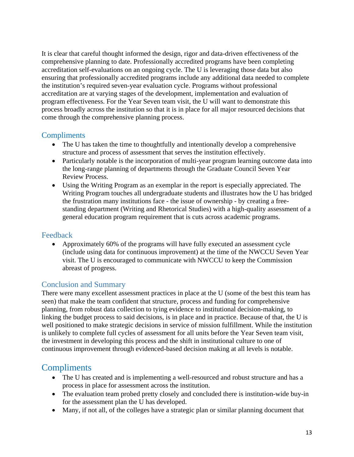It is clear that careful thought informed the design, rigor and data-driven effectiveness of the comprehensive planning to date. Professionally accredited programs have been completing accreditation self-evaluations on an ongoing cycle. The U is leveraging those data but also ensuring that professionally accredited programs include any additional data needed to complete the institution's required seven-year evaluation cycle. Programs without professional accreditation are at varying stages of the development, implementation and evaluation of program effectiveness. For the Year Seven team visit, the U will want to demonstrate this process broadly across the institution so that it is in place for all major resourced decisions that come through the comprehensive planning process.

### **Compliments**

- The U has taken the time to thoughtfully and intentionally develop a comprehensive structure and process of assessment that serves the institution effectively.
- Particularly notable is the incorporation of multi-year program learning outcome data into the long-range planning of departments through the Graduate Council Seven Year Review Process.
- Using the Writing Program as an exemplar in the report is especially appreciated. The Writing Program touches all undergraduate students and illustrates how the U has bridged the frustration many institutions face - the issue of ownership - by creating a freestanding department (Writing and Rhetorical Studies) with a high-quality assessment of a general education program requirement that is cuts across academic programs.

### Feedback

 Approximately 60% of the programs will have fully executed an assessment cycle (include using data for continuous improvement) at the time of the NWCCU Seven Year visit. The U is encouraged to communicate with NWCCU to keep the Commission abreast of progress.

# Conclusion and Summary

There were many excellent assessment practices in place at the U (some of the best this team has seen) that make the team confident that structure, process and funding for comprehensive planning, from robust data collection to tying evidence to institutional decision-making, to linking the budget process to said decisions, is in place and in practice. Because of that, the U is well positioned to make strategic decisions in service of mission fulfillment. While the institution is unlikely to complete full cycles of assessment for all units before the Year Seven team visit, the investment in developing this process and the shift in institutional culture to one of continuous improvement through evidenced-based decision making at all levels is notable.

# **Compliments**

- The U has created and is implementing a well-resourced and robust structure and has a process in place for assessment across the institution.
- The evaluation team probed pretty closely and concluded there is institution-wide buy-in for the assessment plan the U has developed.
- Many, if not all, of the colleges have a strategic plan or similar planning document that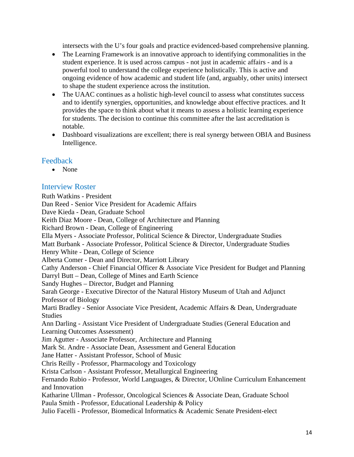intersects with the U's four goals and practice evidenced-based comprehensive planning.

- The Learning Framework is an innovative approach to identifying commonalities in the student experience. It is used across campus - not just in academic affairs - and is a powerful tool to understand the college experience holistically. This is active and ongoing evidence of how academic and student life (and, arguably, other units) intersect to shape the student experience across the institution.
- The UAAC continues as a holistic high-level council to assess what constitutes success and to identify synergies, opportunities, and knowledge about effective practices. and It provides the space to think about what it means to assess a holistic learning experience for students. The decision to continue this committee after the last accreditation is notable.
- Dashboard visualizations are excellent; there is real synergy between OBIA and Business Intelligence.

### **Feedback**

• None

### Interview Roster

Ruth Watkins - President Dan Reed - Senior Vice President for Academic Affairs Dave Kieda - Dean, Graduate School Keith Diaz Moore - Dean, College of Architecture and Planning Richard Brown - Dean, College of Engineering Ella Myers - Associate Professor, Political Science & Director, Undergraduate Studies Matt Burbank - Associate Professor, Political Science & Director, Undergraduate Studies Henry White - Dean, College of Science Alberta Comer - Dean and Director, Marriott Library Cathy Anderson - Chief Financial Officer & Associate Vice President for Budget and Planning Darryl Butt – Dean, College of Mines and Earth Science Sandy Hughes – Director, Budget and Planning Sarah George - Executive Director of the Natural History Museum of Utah and Adjunct Professor of Biology Marti Bradley - Senior Associate Vice President, Academic Affairs & Dean, Undergraduate **Studies** Ann Darling - Assistant Vice President of Undergraduate Studies (General Education and Learning Outcomes Assessment) Jim Agutter - Associate Professor, Architecture and Planning Mark St. Andre - Associate Dean, Assessment and General Education Jane Hatter - Assistant Professor, School of Music Chris Reilly - Professor, Pharmacology and Toxicology Krista Carlson - Assistant Professor, Metallurgical Engineering Fernando Rubio - Professor, World Languages, & Director, UOnline Curriculum Enhancement and Innovation Katharine Ullman - Professor, Oncological Sciences & Associate Dean, Graduate School Paula Smith - Professor, Educational Leadership & Policy Julio Facelli - Professor, Biomedical Informatics & Academic Senate President-elect